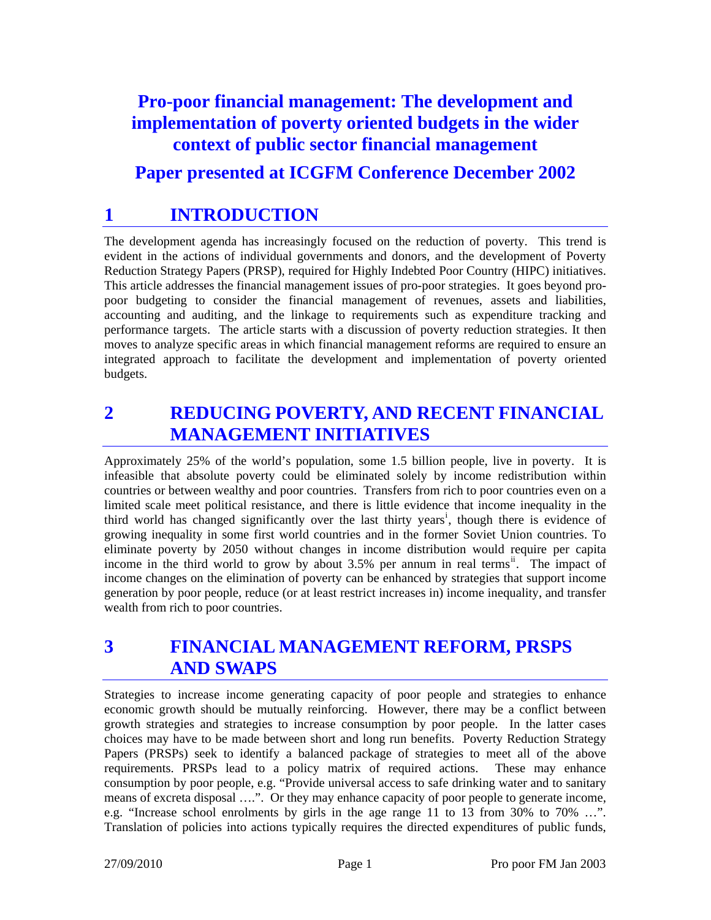# **Pro-poor financial management: The development and implementation of poverty oriented budgets in the wider context of public sector financial management Paper presented at ICGFM Conference December 2002**

## **1 INTRODUCTION**

The development agenda has increasingly focused on the reduction of poverty. This trend is evident in the actions of individual governments and donors, and the development of Poverty Reduction Strategy Papers (PRSP), required for Highly Indebted Poor Country (HIPC) initiatives. This article addresses the financial management issues of pro-poor strategies. It goes beyond propoor budgeting to consider the financial management of revenues, assets and liabilities, accounting and auditing, and the linkage to requirements such as expenditure tracking and performance targets. The article starts with a discussion of poverty reduction strategies. It then moves to analyze specific areas in which financial management reforms are required to ensure an integrated approach to facilitate the development and implementation of poverty oriented budgets.

### **2 REDUCING POVERTY, AND RECENT FINANCIAL MANAGEMENT INITIATIVES**

Approximately 25% of the world's population, some 1.5 billion people, live in poverty. It is infeasible that absolute poverty could be eliminated solely by income redistribution within countries or between wealthy and poor countries. Transfers from rich to poor countries even on a limited scale meet political resistance, and there is little evidence that income inequality in the th[i](#page-15-0)rd world has changed significantly over the last thirty years<sup>i</sup>, though there is evidence of growing inequality in some first world countries and in the former Soviet Union countries. To eliminate poverty by 2050 without changes in income distribution would require per capita income in the third world to grow by about  $3.5\%$  per annum in real terms<sup>[ii](#page-15-1)</sup>. The impact of income changes on the elimination of poverty can be enhanced by strategies that support income generation by poor people, reduce (or at least restrict increases in) income inequality, and transfer wealth from rich to poor countries.

### **3 FINANCIAL MANAGEMENT REFORM, PRSPS AND SWAPS**

Strategies to increase income generating capacity of poor people and strategies to enhance economic growth should be mutually reinforcing. However, there may be a conflict between growth strategies and strategies to increase consumption by poor people. In the latter cases choices may have to be made between short and long run benefits. Poverty Reduction Strategy Papers (PRSPs) seek to identify a balanced package of strategies to meet all of the above requirements. PRSPs lead to a policy matrix of required actions. These may enhance consumption by poor people, e.g. "Provide universal access to safe drinking water and to sanitary means of excreta disposal ….". Or they may enhance capacity of poor people to generate income, e.g. "Increase school enrolments by girls in the age range 11 to 13 from 30% to 70% …". Translation of policies into actions typically requires the directed expenditures of public funds,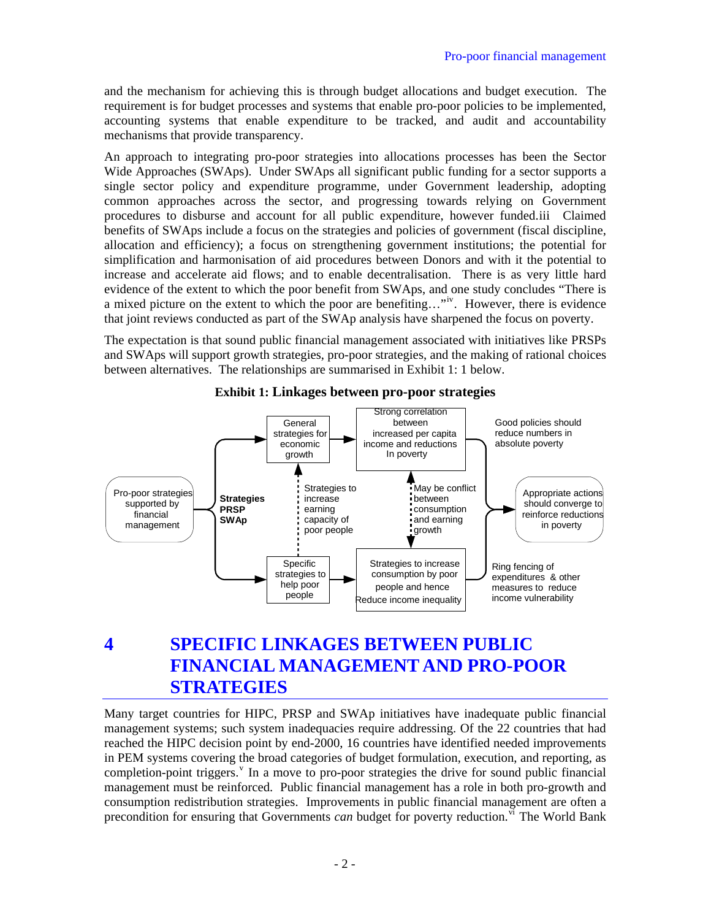and the mechanism for achieving this is through budget allocations and budget execution. The requirement is for budget processes and systems that enable pro-poor policies to be implemented, accounting systems that enable expenditure to be tracked, and audit and accountability mechanisms that provide transparency.

An approach to integrating pro-poor strategies into allocations processes has been the Sector Wide Approaches (SWAps). Under SWAps all significant public funding for a sector supports a single sector policy and expenditure programme, under Government leadership, adopting common approaches across the sector, and progressing towards relying on Government procedures to disburse and account for all public expenditure, however funded.[iii](#page-15-1) Claimed benefits of SWAps include a focus on the strategies and policies of government (fiscal discipline, allocation and efficiency); a focus on strengthening government institutions; the potential for simplification and harmonisation of aid procedures between Donors and with it the potential to increase and accelerate aid flows; and to enable decentralisation. There is as very little hard evidence of the extent to which the poor benefit from SWAps, and one study concludes "There is a mixed picture on the extent to which the poor are benefiting..."<sup>[iv](#page-15-1)</sup>. However, there is evidence that joint reviews conducted as part of the SWAp analysis have sharpened the focus on poverty.

The expectation is that sound public financial management associated with initiatives like PRSPs and SWAps will support growth strategies, pro-poor strategies, and the making of rational choices between alternatives. The relationships are summarised in [Exhibit 1: 1](#page-1-0) below.

<span id="page-1-0"></span>

**Exhibit 1: Linkages between pro-poor strategies** 

### **4 SPECIFIC LINKAGES BETWEEN PUBLIC FINANCIAL MANAGEMENT AND PRO-POOR STRATEGIES**

Many target countries for HIPC, PRSP and SWAp initiatives have inadequate public financial management systems; such system inadequacies require addressing. Of the 22 countries that had reached the HIPC decision point by end-2000, 16 countries have identified needed improvements in PEM systems covering the broad categories of budget formulation, execution, and reporting, as completion-point triggers.<sup>[v](#page-15-1)</sup> In a move to pro-poor strategies the drive for sound public financial management must be reinforced. Public financial management has a role in both pro-growth and consumption redistribution strategies. Improvements in public financial management are often a precondition for ensuring that Governments *can* budget for poverty reduction.<sup>[vi](#page-15-1)</sup> The World Bank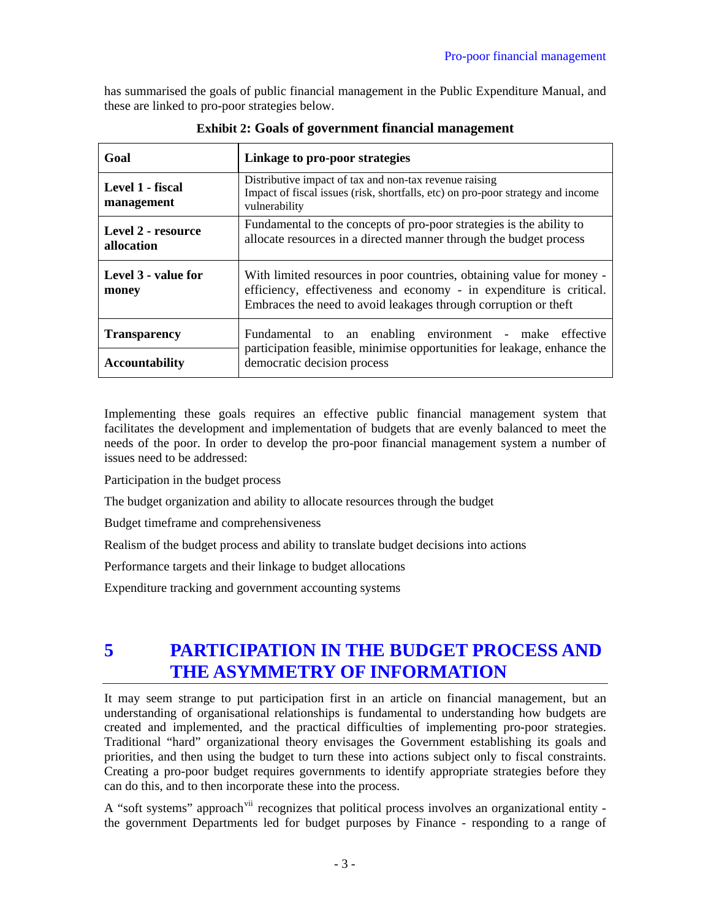has summarised the goals of public financial management in the Public Expenditure Manual, and these are linked to pro-poor strategies below.

| Goal                             | Linkage to pro-poor strategies                                                                                                                                                                                  |  |
|----------------------------------|-----------------------------------------------------------------------------------------------------------------------------------------------------------------------------------------------------------------|--|
| Level 1 - fiscal<br>management   | Distributive impact of tax and non-tax revenue raising<br>Impact of fiscal issues (risk, shortfalls, etc) on pro-poor strategy and income<br>vulnerability                                                      |  |
| Level 2 - resource<br>allocation | Fundamental to the concepts of pro-poor strategies is the ability to<br>allocate resources in a directed manner through the budget process                                                                      |  |
| Level 3 - value for<br>money     | With limited resources in poor countries, obtaining value for money -<br>efficiency, effectiveness and economy - in expenditure is critical.<br>Embraces the need to avoid leakages through corruption or theft |  |
| <b>Transparency</b>              | Fundamental to an enabling environment - make effective                                                                                                                                                         |  |
| <b>Accountability</b>            | participation feasible, minimise opportunities for leakage, enhance the<br>democratic decision process                                                                                                          |  |

**Exhibit 2: Goals of government financial management** 

Implementing these goals requires an effective public financial management system that facilitates the development and implementation of budgets that are evenly balanced to meet the needs of the poor. In order to develop the pro-poor financial management system a number of issues need to be addressed:

Participation in the budget process

The budget organization and ability to allocate resources through the budget

Budget timeframe and comprehensiveness

Realism of the budget process and ability to translate budget decisions into actions

Performance targets and their linkage to budget allocations

Expenditure tracking and government accounting systems

## **5 PARTICIPATION IN THE BUDGET PROCESS AND THE ASYMMETRY OF INFORMATION**

It may seem strange to put participation first in an article on financial management, but an understanding of organisational relationships is fundamental to understanding how budgets are created and implemented, and the practical difficulties of implementing pro-poor strategies. Traditional "hard" organizational theory envisages the Government establishing its goals and priorities, and then using the budget to turn these into actions subject only to fiscal constraints. Creating a pro-poor budget requires governments to identify appropriate strategies before they can do this, and to then incorporate these into the process.

A "soft systems" approach<sup>[vii](#page-15-1)</sup> recognizes that political process involves an organizational entity the government Departments led for budget purposes by Finance - responding to a range of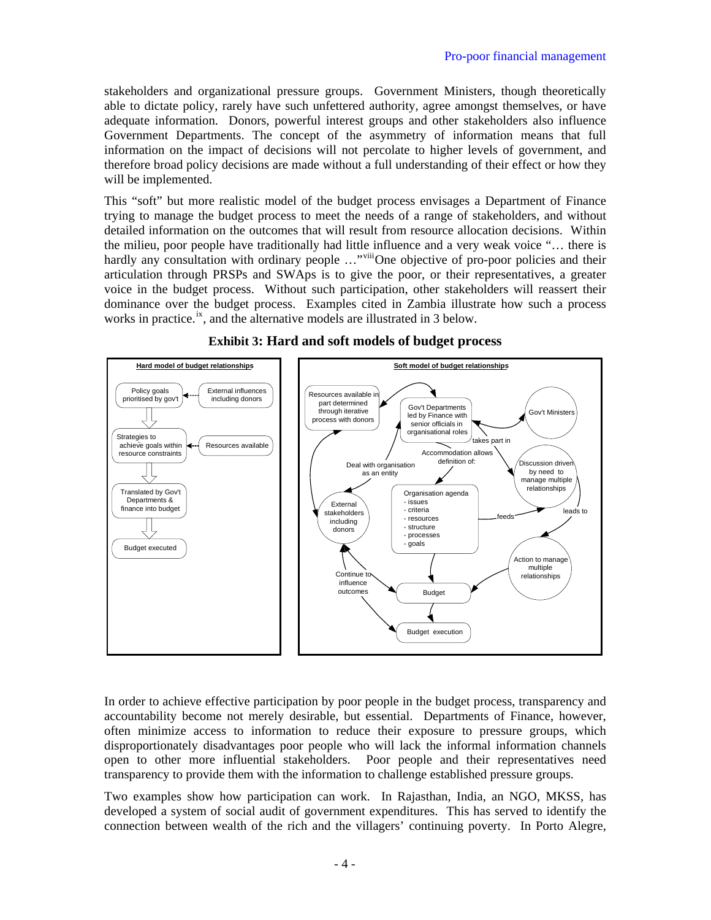stakeholders and organizational pressure groups. Government Ministers, though theoretically able to dictate policy, rarely have such unfettered authority, agree amongst themselves, or have adequate information. Donors, powerful interest groups and other stakeholders also influence Government Departments. The concept of the asymmetry of information means that full information on the impact of decisions will not percolate to higher levels of government, and therefore broad policy decisions are made without a full understanding of their effect or how they will be implemented.

This "soft" but more realistic model of the budget process envisages a Department of Finance trying to manage the budget process to meet the needs of a range of stakeholders, and without detailed information on the outcomes that will result from resource allocation decisions. Within the milieu, poor people have traditionally had little influence and a very weak voice "… there is hardly any consultation with ordinary people ..."<sup>[viii](#page-15-1)</sup>One objective of pro-poor policies and their articulation through PRSPs and SWAps is to give the poor, or their representatives, a greater voice in the budget process. Without such participation, other stakeholders will reassert their dominance over the budget process. Examples cited in Zambia illustrate how such a process works in practice.<sup>[ix](#page-15-1)</sup>, and the alternative models are illustrated in 3 below.



### **Exhibit 3: Hard and soft models of budget process**

In order to achieve effective participation by poor people in the budget process, transparency and accountability become not merely desirable, but essential. Departments of Finance, however, often minimize access to information to reduce their exposure to pressure groups, which disproportionately disadvantages poor people who will lack the informal information channels open to other more influential stakeholders. Poor people and their representatives need transparency to provide them with the information to challenge established pressure groups.

Two examples show how participation can work. In Rajasthan, India, an NGO, MKSS, has developed a system of social audit of government expenditures. This has served to identify the connection between wealth of the rich and the villagers' continuing poverty. In Porto Alegre,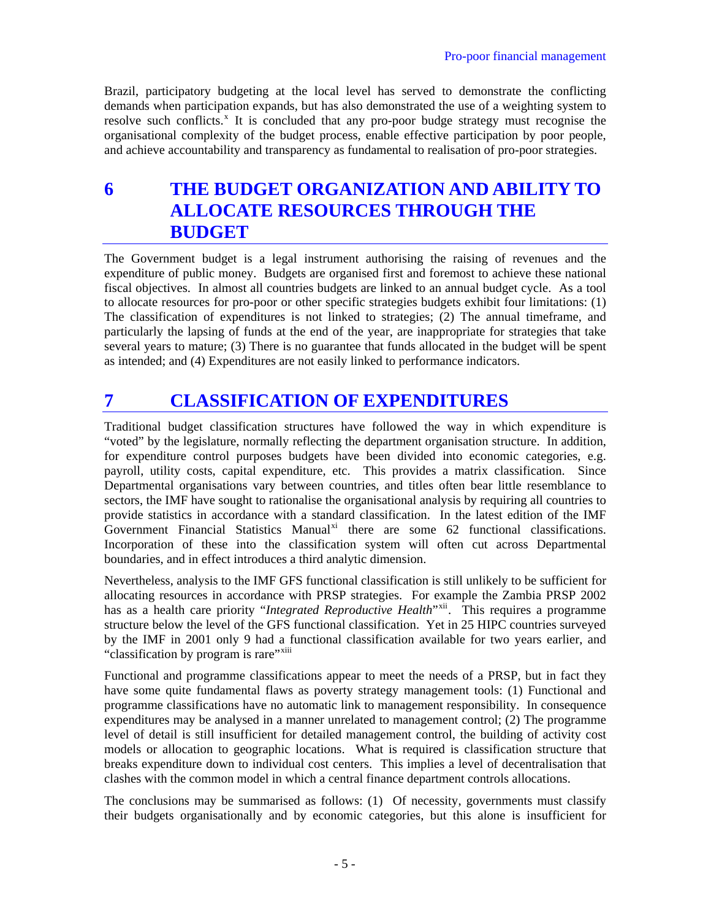Brazil, participatory budgeting at the local level has served to demonstrate the conflicting demands when participation expands, but has also demonstrated the use of a weighting system to resolve such conflicts.<sup>[x](#page-15-1)</sup> It is concluded that any pro-poor budge strategy must recognise the organisational complexity of the budget process, enable effective participation by poor people, and achieve accountability and transparency as fundamental to realisation of pro-poor strategies.

**6 THE BUDGET ORGANIZATION AND ABILITY TO ALLOCATE RESOURCES THROUGH THE BUDGET** 

The Government budget is a legal instrument authorising the raising of revenues and the expenditure of public money. Budgets are organised first and foremost to achieve these national fiscal objectives. In almost all countries budgets are linked to an annual budget cycle. As a tool to allocate resources for pro-poor or other specific strategies budgets exhibit four limitations: (1) The classification of expenditures is not linked to strategies; (2) The annual timeframe, and particularly the lapsing of funds at the end of the year, are inappropriate for strategies that take several years to mature; (3) There is no guarantee that funds allocated in the budget will be spent as intended; and (4) Expenditures are not easily linked to performance indicators.

## **7 CLASSIFICATION OF EXPENDITURES**

Traditional budget classification structures have followed the way in which expenditure is "voted" by the legislature, normally reflecting the department organisation structure. In addition, for expenditure control purposes budgets have been divided into economic categories, e.g. payroll, utility costs, capital expenditure, etc. This provides a matrix classification. Since Departmental organisations vary between countries, and titles often bear little resemblance to sectors, the IMF have sought to rationalise the organisational analysis by requiring all countries to provide statistics in accordance with a standard classification. In the latest edition of the IMF Government Financial Statistics Manual<sup>[xi](#page-15-1)</sup> there are some  $62$  functional classifications. Incorporation of these into the classification system will often cut across Departmental boundaries, and in effect introduces a third analytic dimension.

Nevertheless, analysis to the IMF GFS functional classification is still unlikely to be sufficient for allocating resources in accordance with PRSP strategies. For example the Zambia PRSP 2002 has as a health care priority "*Integrated Reproductive Health*"<sup>[xii](#page-15-1)</sup>. This requires a programme structure below the level of the GFS functional classification. Yet in 25 HIPC countries surveyed by the IMF in 2001 only 9 had a functional classification available for two years earlier, and "classification by program is rare"<sup>[xiii](#page-15-1)</sup>

Functional and programme classifications appear to meet the needs of a PRSP, but in fact they have some quite fundamental flaws as poverty strategy management tools: (1) Functional and programme classifications have no automatic link to management responsibility. In consequence expenditures may be analysed in a manner unrelated to management control; (2) The programme level of detail is still insufficient for detailed management control, the building of activity cost models or allocation to geographic locations. What is required is classification structure that breaks expenditure down to individual cost centers. This implies a level of decentralisation that clashes with the common model in which a central finance department controls allocations.

The conclusions may be summarised as follows: (1) Of necessity, governments must classify their budgets organisationally and by economic categories, but this alone is insufficient for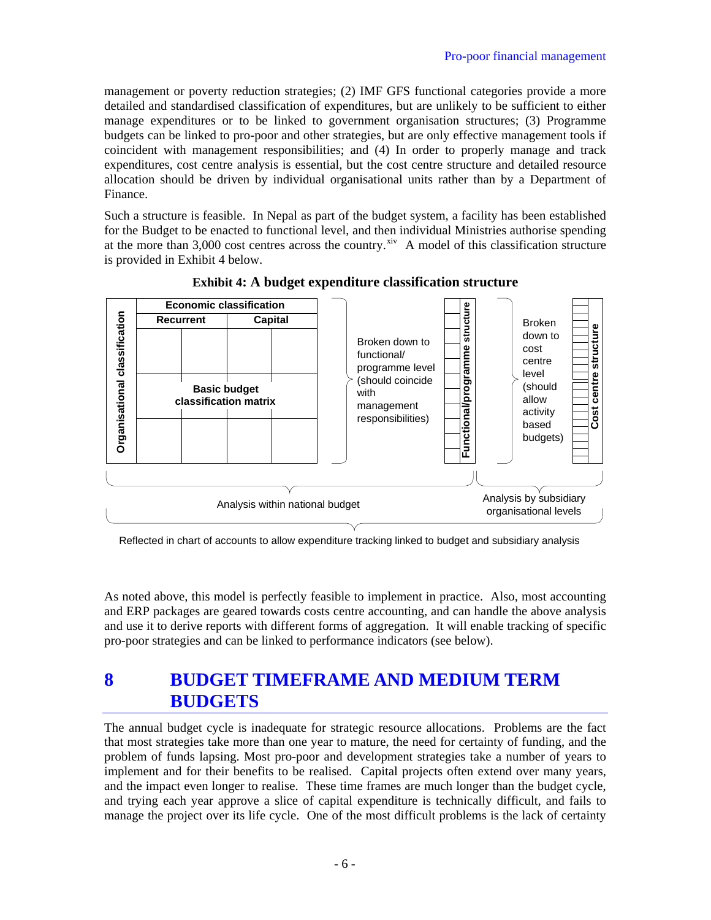management or poverty reduction strategies; (2) IMF GFS functional categories provide a more detailed and standardised classification of expenditures, but are unlikely to be sufficient to either manage expenditures or to be linked to government organisation structures; (3) Programme budgets can be linked to pro-poor and other strategies, but are only effective management tools if coincident with management responsibilities; and (4) In order to properly manage and track expenditures, cost centre analysis is essential, but the cost centre structure and detailed resource allocation should be driven by individual organisational units rather than by a Department of Finance.

Such a structure is feasible. In Nepal as part of the budget system, a facility has been established for the Budget to be enacted to functional level, and then individual Ministries authorise spending at the more than  $3,000$  cost centres across the country.<sup>[xiv](#page-15-1)</sup> A model of this classification structure is provided in Exhibit 4 below.

<span id="page-5-0"></span>

**Exhibit 4: A budget expenditure classification structure** 

Reflected in chart of accounts to allow expenditure tracking linked to budget and subsidiary analysis

As noted above, this model is perfectly feasible to implement in practice. Also, most accounting and ERP packages are geared towards costs centre accounting, and can handle the above analysis and use it to derive reports with different forms of aggregation. It will enable tracking of specific pro-poor strategies and can be linked to performance indicators (see below).

# **8 BUDGET TIMEFRAME AND MEDIUM TERM BUDGETS**

The annual budget cycle is inadequate for strategic resource allocations. Problems are the fact that most strategies take more than one year to mature, the need for certainty of funding, and the problem of funds lapsing. Most pro-poor and development strategies take a number of years to implement and for their benefits to be realised. Capital projects often extend over many years, and the impact even longer to realise. These time frames are much longer than the budget cycle, and trying each year approve a slice of capital expenditure is technically difficult, and fails to manage the project over its life cycle. One of the most difficult problems is the lack of certainty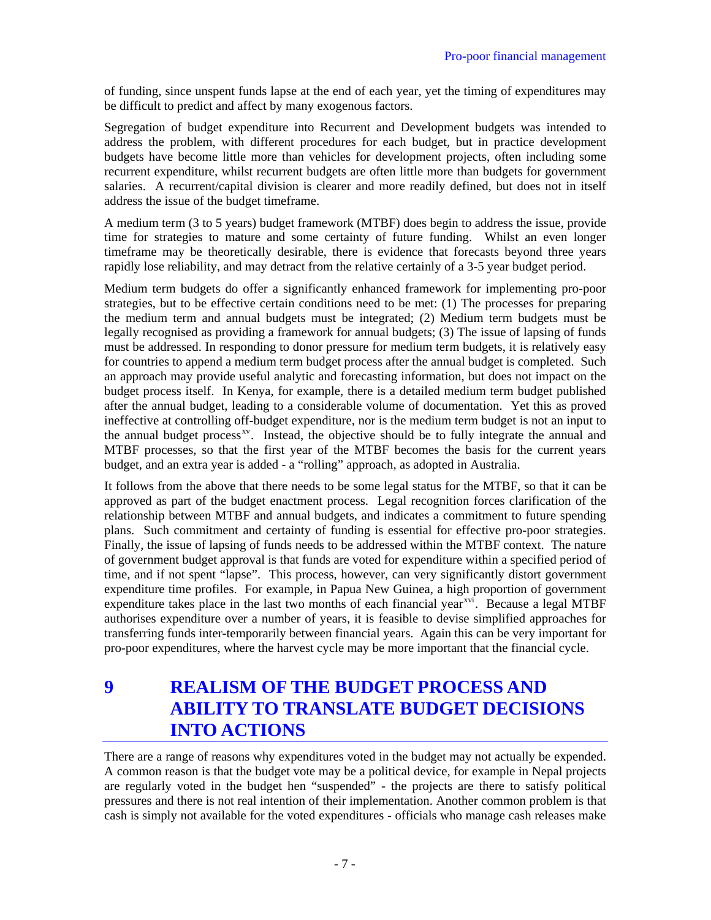of funding, since unspent funds lapse at the end of each year, yet the timing of expenditures may be difficult to predict and affect by many exogenous factors.

Segregation of budget expenditure into Recurrent and Development budgets was intended to address the problem, with different procedures for each budget, but in practice development budgets have become little more than vehicles for development projects, often including some recurrent expenditure, whilst recurrent budgets are often little more than budgets for government salaries. A recurrent/capital division is clearer and more readily defined, but does not in itself address the issue of the budget timeframe.

A medium term (3 to 5 years) budget framework (MTBF) does begin to address the issue, provide time for strategies to mature and some certainty of future funding. Whilst an even longer timeframe may be theoretically desirable, there is evidence that forecasts beyond three years rapidly lose reliability, and may detract from the relative certainly of a 3-5 year budget period.

Medium term budgets do offer a significantly enhanced framework for implementing pro-poor strategies, but to be effective certain conditions need to be met: (1) The processes for preparing the medium term and annual budgets must be integrated; (2) Medium term budgets must be legally recognised as providing a framework for annual budgets; (3) The issue of lapsing of funds must be addressed. In responding to donor pressure for medium term budgets, it is relatively easy for countries to append a medium term budget process after the annual budget is completed. Such an approach may provide useful analytic and forecasting information, but does not impact on the budget process itself. In Kenya, for example, there is a detailed medium term budget published after the annual budget, leading to a considerable volume of documentation. Yet this as proved ineffective at controlling off-budget expenditure, nor is the medium term budget is not an input to the annual budget process<sup>xy</sup>. Instead, the objective should be to fully integrate the annual and MTBF processes, so that the first year of the MTBF becomes the basis for the current years budget, and an extra year is added - a "rolling" approach, as adopted in Australia.

It follows from the above that there needs to be some legal status for the MTBF, so that it can be approved as part of the budget enactment process. Legal recognition forces clarification of the relationship between MTBF and annual budgets, and indicates a commitment to future spending plans. Such commitment and certainty of funding is essential for effective pro-poor strategies. Finally, the issue of lapsing of funds needs to be addressed within the MTBF context. The nature of government budget approval is that funds are voted for expenditure within a specified period of time, and if not spent "lapse". This process, however, can very significantly distort government expenditure time profiles. For example, in Papua New Guinea, a high proportion of government expenditure takes place in the last two months of each financial year<sup>[xvi](#page-15-1)</sup>. Because a legal MTBF authorises expenditure over a number of years, it is feasible to devise simplified approaches for transferring funds inter-temporarily between financial years. Again this can be very important for pro-poor expenditures, where the harvest cycle may be more important that the financial cycle.

**9 REALISM OF THE BUDGET PROCESS AND ABILITY TO TRANSLATE BUDGET DECISIONS INTO ACTIONS** 

There are a range of reasons why expenditures voted in the budget may not actually be expended. A common reason is that the budget vote may be a political device, for example in Nepal projects are regularly voted in the budget hen "suspended" - the projects are there to satisfy political pressures and there is not real intention of their implementation. Another common problem is that cash is simply not available for the voted expenditures - officials who manage cash releases make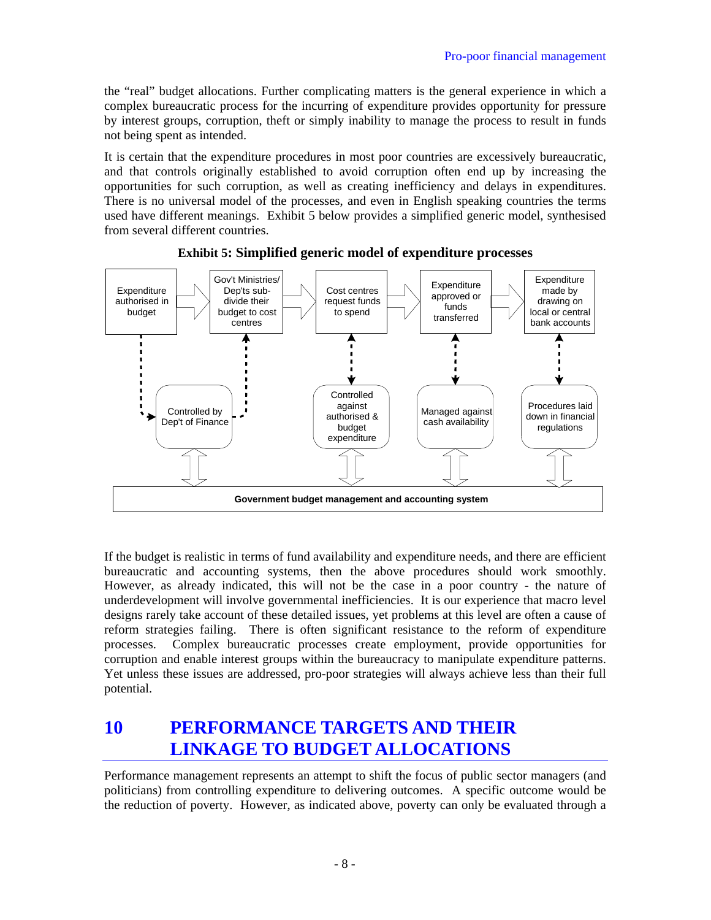the "real" budget allocations. Further complicating matters is the general experience in which a complex bureaucratic process for the incurring of expenditure provides opportunity for pressure by interest groups, corruption, theft or simply inability to manage the process to result in funds not being spent as intended.

It is certain that the expenditure procedures in most poor countries are excessively bureaucratic, and that controls originally established to avoid corruption often end up by increasing the opportunities for such corruption, as well as creating inefficiency and delays in expenditures. There is no universal model of the processes, and even in English speaking countries the terms used have different meanings. Exhibit 5 below provides a simplified generic model, synthesised from several different countries.





If the budget is realistic in terms of fund availability and expenditure needs, and there are efficient bureaucratic and accounting systems, then the above procedures should work smoothly. However, as already indicated, this will not be the case in a poor country - the nature of underdevelopment will involve governmental inefficiencies. It is our experience that macro level designs rarely take account of these detailed issues, yet problems at this level are often a cause of reform strategies failing. There is often significant resistance to the reform of expenditure processes. Complex bureaucratic processes create employment, provide opportunities for corruption and enable interest groups within the bureaucracy to manipulate expenditure patterns. Yet unless these issues are addressed, pro-poor strategies will always achieve less than their full potential.

## **10 PERFORMANCE TARGETS AND THEIR LINKAGE TO BUDGET ALLOCATIONS**

Performance management represents an attempt to shift the focus of public sector managers (and politicians) from controlling expenditure to delivering outcomes. A specific outcome would be the reduction of poverty. However, as indicated above, poverty can only be evaluated through a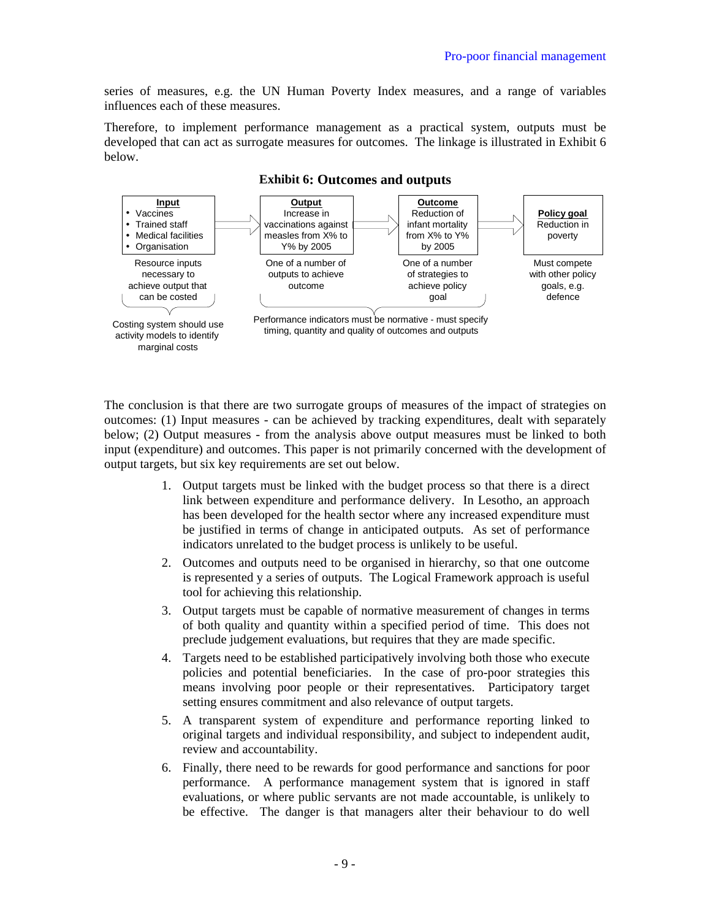series of measures, e.g. the UN Human Poverty Index measures, and a range of variables influences each of these measures.

Therefore, to implement performance management as a practical system, outputs must be developed that can act as surrogate measures for outcomes. The linkage is illustrated in Exhibit 6 below.



#### **Exhibit 6: Outcomes and outputs**

The conclusion is that there are two surrogate groups of measures of the impact of strategies on outcomes: (1) Input measures - can be achieved by tracking expenditures, dealt with separately below; (2) Output measures - from the analysis above output measures must be linked to both input (expenditure) and outcomes. This paper is not primarily concerned with the development of output targets, but six key requirements are set out below.

- 1. Output targets must be linked with the budget process so that there is a direct link between expenditure and performance delivery. In Lesotho, an approach has been developed for the health sector where any increased expenditure must be justified in terms of change in anticipated outputs. As set of performance indicators unrelated to the budget process is unlikely to be useful.
- 2. Outcomes and outputs need to be organised in hierarchy, so that one outcome is represented y a series of outputs. The Logical Framework approach is useful tool for achieving this relationship.
- 3. Output targets must be capable of normative measurement of changes in terms of both quality and quantity within a specified period of time. This does not preclude judgement evaluations, but requires that they are made specific.
- 4. Targets need to be established participatively involving both those who execute policies and potential beneficiaries. In the case of pro-poor strategies this means involving poor people or their representatives. Participatory target setting ensures commitment and also relevance of output targets.
- 5. A transparent system of expenditure and performance reporting linked to original targets and individual responsibility, and subject to independent audit, review and accountability.
- 6. Finally, there need to be rewards for good performance and sanctions for poor performance. A performance management system that is ignored in staff evaluations, or where public servants are not made accountable, is unlikely to be effective. The danger is that managers alter their behaviour to do well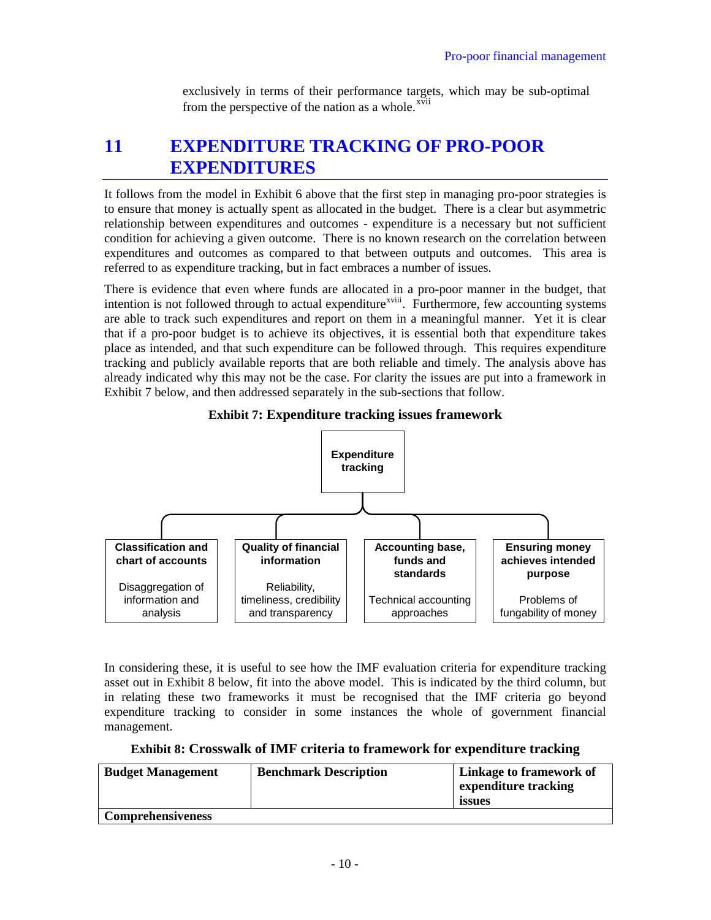exclusively in terms of their performance targets, which may be sub-optimal from the perspective of the nation as a whole.<sup>xvii</sup>

### **11 EXPENDITURE TRACKING OF PRO-POOR EXPENDITURES**

It follows from the model in Exhibit 6 above that the first step in managing pro-poor strategies is to ensure that money is actually spent as allocated in the budget. There is a clear but asymmetric relationship between expenditures and outcomes - expenditure is a necessary but not sufficient condition for achieving a given outcome. There is no known research on the correlation between expenditures and outcomes as compared to that between outputs and outcomes. This area is referred to as expenditure tracking, but in fact embraces a number of issues.

There is evidence that even where funds are allocated in a pro-poor manner in the budget, that intention is not followed through to actual expenditure<sup>[xviii](#page-15-1)</sup>. Furthermore, few accounting systems are able to track such expenditures and report on them in a meaningful manner. Yet it is clear that if a pro-poor budget is to achieve its objectives, it is essential both that expenditure takes place as intended, and that such expenditure can be followed through. This requires expenditure tracking and publicly available reports that are both reliable and timely. The analysis above has already indicated why this may not be the case. For clarity the issues are put into a framework in Exhibit 7 below, and then addressed separately in the sub-sections that follow.





In considering these, it is useful to see how the IMF evaluation criteria for expenditure tracking asset out in Exhibit 8 below, fit into the above model. This is indicated by the third column, but in relating these two frameworks it must be recognised that the IMF criteria go beyond expenditure tracking to consider in some instances the whole of government financial management.

**Exhibit 8: Crosswalk of IMF criteria to framework for expenditure tracking** 

| <b>Budget Management</b> | <b>Benchmark Description</b> | <b>Linkage to framework of</b><br>expenditure tracking<br>issues |
|--------------------------|------------------------------|------------------------------------------------------------------|
| <b>Comprehensiveness</b> |                              |                                                                  |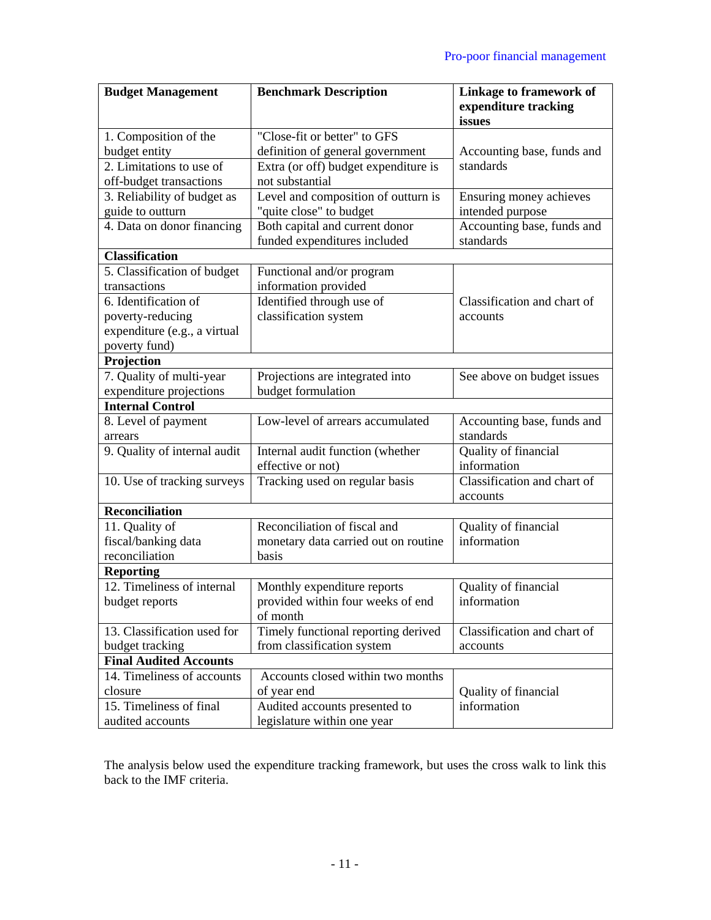| <b>Budget Management</b>       | <b>Benchmark Description</b>         | <b>Linkage to framework of</b><br>expenditure tracking |
|--------------------------------|--------------------------------------|--------------------------------------------------------|
|                                |                                      | issues                                                 |
| 1. Composition of the          | "Close-fit or better" to GFS         |                                                        |
| budget entity                  | definition of general government     | Accounting base, funds and                             |
| 2. Limitations to use of       | Extra (or off) budget expenditure is | standards                                              |
| off-budget transactions        | not substantial                      |                                                        |
| 3. Reliability of budget as    | Level and composition of outturn is  | Ensuring money achieves                                |
| guide to outturn               | "quite close" to budget              | intended purpose                                       |
| 4. Data on donor financing     | Both capital and current donor       | Accounting base, funds and                             |
|                                | funded expenditures included         | standards                                              |
| <b>Classification</b>          |                                      |                                                        |
| 5. Classification of budget    | Functional and/or program            |                                                        |
| transactions                   | information provided                 |                                                        |
| 6. Identification of           | Identified through use of            | Classification and chart of                            |
| poverty-reducing               | classification system                | accounts                                               |
| expenditure (e.g., a virtual   |                                      |                                                        |
| poverty fund)                  |                                      |                                                        |
| Projection                     |                                      |                                                        |
| 7. Quality of multi-year       | Projections are integrated into      | See above on budget issues                             |
| expenditure projections        | budget formulation                   |                                                        |
| <b>Internal Control</b>        |                                      |                                                        |
| 8. Level of payment<br>arrears | Low-level of arrears accumulated     | Accounting base, funds and<br>standards                |
| 9. Quality of internal audit   | Internal audit function (whether     | Quality of financial                                   |
|                                | effective or not)                    | information                                            |
| 10. Use of tracking surveys    | Tracking used on regular basis       | Classification and chart of                            |
| <b>Reconciliation</b>          |                                      | accounts                                               |
| 11. Quality of                 | Reconciliation of fiscal and         | Quality of financial                                   |
| fiscal/banking data            | monetary data carried out on routine | information                                            |
| reconciliation                 | basis                                |                                                        |
| <b>Reporting</b>               |                                      |                                                        |
| 12. Timeliness of internal     | Monthly expenditure reports          | Quality of financial                                   |
| budget reports                 | provided within four weeks of end    | information                                            |
|                                | of month                             |                                                        |
| 13. Classification used for    | Timely functional reporting derived  | Classification and chart of                            |
| budget tracking                | from classification system           | accounts                                               |
| <b>Final Audited Accounts</b>  |                                      |                                                        |
| 14. Timeliness of accounts     | Accounts closed within two months    |                                                        |
| closure                        | of year end                          | Quality of financial                                   |
| 15. Timeliness of final        | Audited accounts presented to        | information                                            |
| audited accounts               | legislature within one year          |                                                        |

The analysis below used the expenditure tracking framework, but uses the cross walk to link this back to the IMF criteria.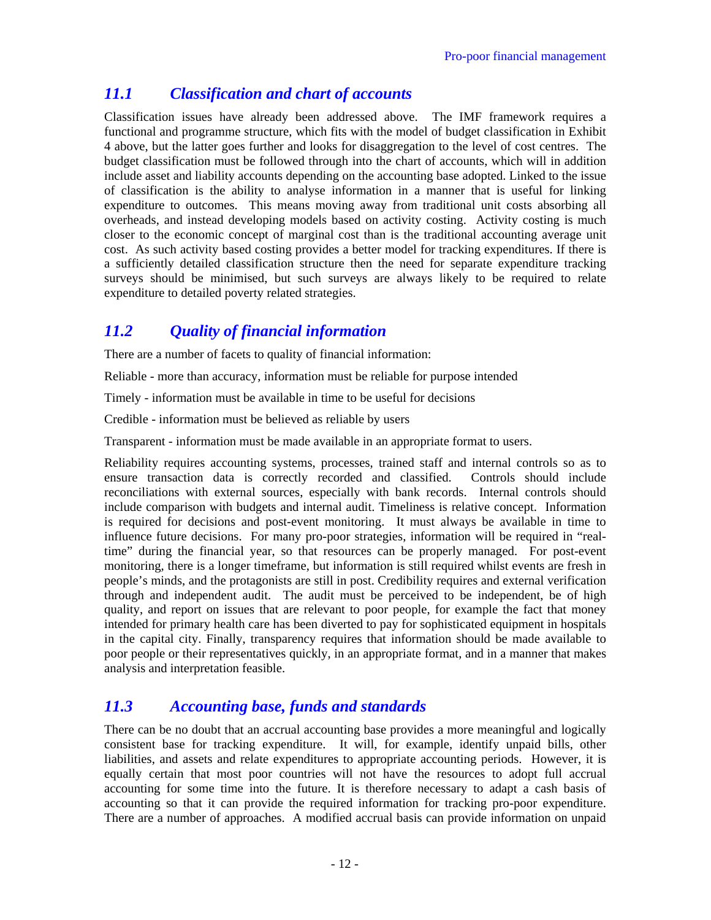### *11.1 Classification and chart of accounts*

Classification issues have already been addressed above. The IMF framework requires a functional and programme structure, which fits with the model of budget classification in [Exhibit](#page-5-0)  [4](#page-5-0) above, but the latter goes further and looks for disaggregation to the level of cost centres. The budget classification must be followed through into the chart of accounts, which will in addition include asset and liability accounts depending on the accounting base adopted. Linked to the issue of classification is the ability to analyse information in a manner that is useful for linking expenditure to outcomes. This means moving away from traditional unit costs absorbing all overheads, and instead developing models based on activity costing. Activity costing is much closer to the economic concept of marginal cost than is the traditional accounting average unit cost. As such activity based costing provides a better model for tracking expenditures. If there is a sufficiently detailed classification structure then the need for separate expenditure tracking surveys should be minimised, but such surveys are always likely to be required to relate expenditure to detailed poverty related strategies.

### *11.2 Quality of financial information*

There are a number of facets to quality of financial information:

Reliable - more than accuracy, information must be reliable for purpose intended

Timely - information must be available in time to be useful for decisions

Credible - information must be believed as reliable by users

Transparent - information must be made available in an appropriate format to users.

Reliability requires accounting systems, processes, trained staff and internal controls so as to ensure transaction data is correctly recorded and classified. Controls should include reconciliations with external sources, especially with bank records. Internal controls should include comparison with budgets and internal audit. Timeliness is relative concept. Information is required for decisions and post-event monitoring. It must always be available in time to influence future decisions. For many pro-poor strategies, information will be required in "realtime" during the financial year, so that resources can be properly managed. For post-event monitoring, there is a longer timeframe, but information is still required whilst events are fresh in people's minds, and the protagonists are still in post. Credibility requires and external verification through and independent audit. The audit must be perceived to be independent, be of high quality, and report on issues that are relevant to poor people, for example the fact that money intended for primary health care has been diverted to pay for sophisticated equipment in hospitals in the capital city. Finally, transparency requires that information should be made available to poor people or their representatives quickly, in an appropriate format, and in a manner that makes analysis and interpretation feasible.

### *11.3 Accounting base, funds and standards*

There can be no doubt that an accrual accounting base provides a more meaningful and logically consistent base for tracking expenditure. It will, for example, identify unpaid bills, other liabilities, and assets and relate expenditures to appropriate accounting periods. However, it is equally certain that most poor countries will not have the resources to adopt full accrual accounting for some time into the future. It is therefore necessary to adapt a cash basis of accounting so that it can provide the required information for tracking pro-poor expenditure. There are a number of approaches. A modified accrual basis can provide information on unpaid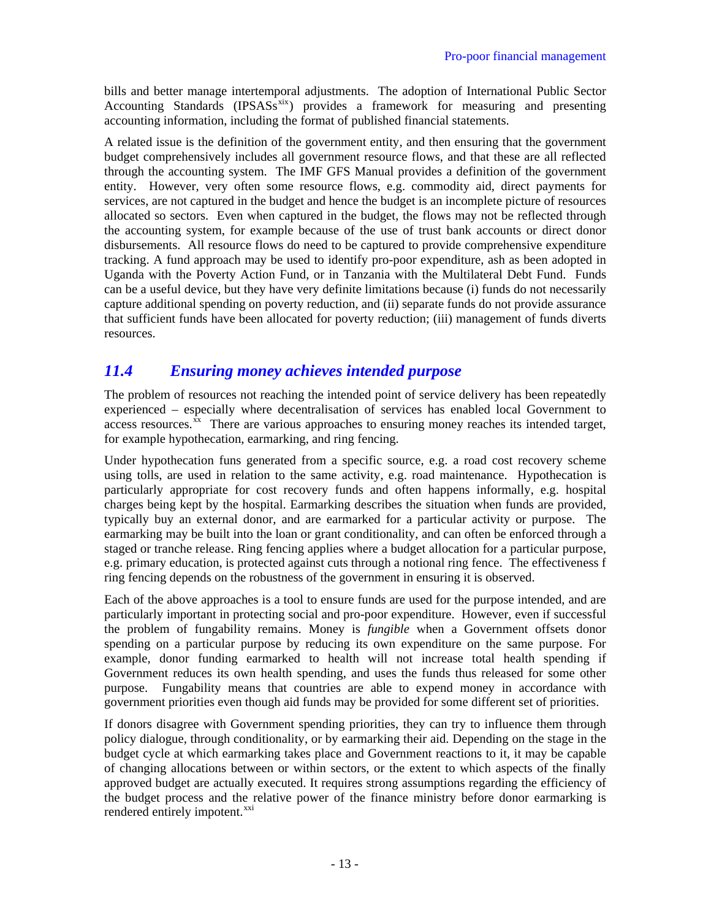bills and better manage intertemporal adjustments. The adoption of International Public Sector Accounting Standards (IPSASs<sup>[xix](#page-15-1)</sup>) provides a framework for measuring and presenting accounting information, including the format of published financial statements.

A related issue is the definition of the government entity, and then ensuring that the government budget comprehensively includes all government resource flows, and that these are all reflected through the accounting system. The IMF GFS Manual provides a definition of the government entity. However, very often some resource flows, e.g. commodity aid, direct payments for services, are not captured in the budget and hence the budget is an incomplete picture of resources allocated so sectors. Even when captured in the budget, the flows may not be reflected through the accounting system, for example because of the use of trust bank accounts or direct donor disbursements. All resource flows do need to be captured to provide comprehensive expenditure tracking. A fund approach may be used to identify pro-poor expenditure, ash as been adopted in Uganda with the Poverty Action Fund, or in Tanzania with the Multilateral Debt Fund. Funds can be a useful device, but they have very definite limitations because (i) funds do not necessarily capture additional spending on poverty reduction, and (ii) separate funds do not provide assurance that sufficient funds have been allocated for poverty reduction; (iii) management of funds diverts resources.

### *11.4 Ensuring money achieves intended purpose*

The problem of resources not reaching the intended point of service delivery has been repeatedly experienced – especially where decentralisation of services has enabled local Government to access resources. $\frac{x}{x}$  There are various approaches to ensuring money reaches its intended target, for example hypothecation, earmarking, and ring fencing.

Under hypothecation funs generated from a specific source, e.g. a road cost recovery scheme using tolls, are used in relation to the same activity, e.g. road maintenance. Hypothecation is particularly appropriate for cost recovery funds and often happens informally, e.g. hospital charges being kept by the hospital. Earmarking describes the situation when funds are provided, typically buy an external donor, and are earmarked for a particular activity or purpose. The earmarking may be built into the loan or grant conditionality, and can often be enforced through a staged or tranche release. Ring fencing applies where a budget allocation for a particular purpose, e.g. primary education, is protected against cuts through a notional ring fence. The effectiveness f ring fencing depends on the robustness of the government in ensuring it is observed.

Each of the above approaches is a tool to ensure funds are used for the purpose intended, and are particularly important in protecting social and pro-poor expenditure. However, even if successful the problem of fungability remains. Money is *fungible* when a Government offsets donor spending on a particular purpose by reducing its own expenditure on the same purpose. For example, donor funding earmarked to health will not increase total health spending if Government reduces its own health spending, and uses the funds thus released for some other purpose. Fungability means that countries are able to expend money in accordance with government priorities even though aid funds may be provided for some different set of priorities.

If donors disagree with Government spending priorities, they can try to influence them through policy dialogue, through conditionality, or by earmarking their aid. Depending on the stage in the budget cycle at which earmarking takes place and Government reactions to it, it may be capable of changing allocations between or within sectors, or the extent to which aspects of the finally approved budget are actually executed. It requires strong assumptions regarding the efficiency of the budget process and the relative power of the finance ministry before donor earmarking is rendered entirely impotent.<sup>[xxi](#page-15-1)</sup>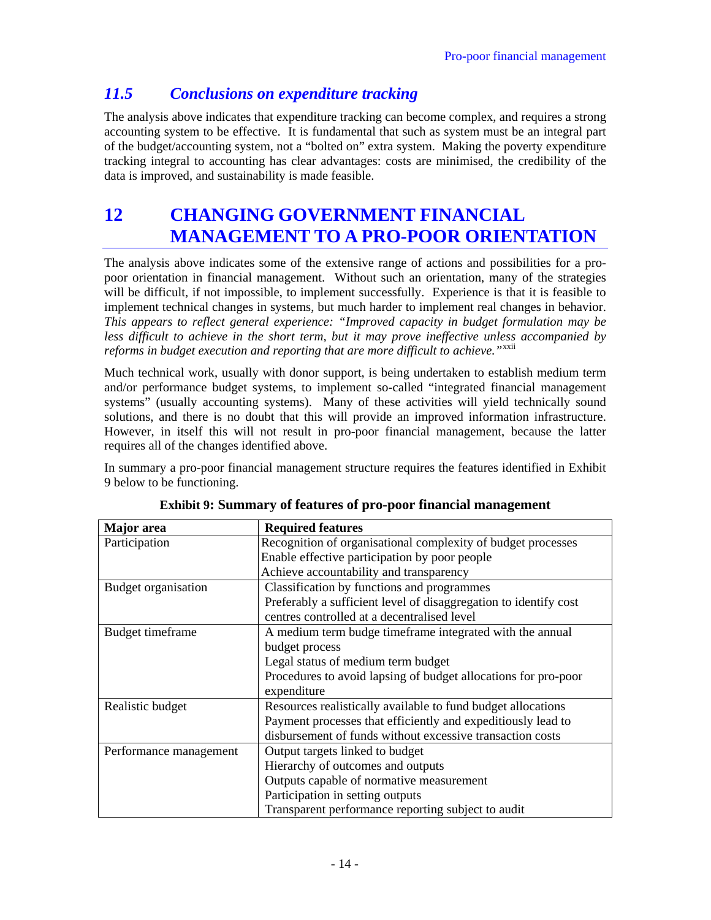### *11.5 Conclusions on expenditure tracking*

The analysis above indicates that expenditure tracking can become complex, and requires a strong accounting system to be effective. It is fundamental that such as system must be an integral part of the budget/accounting system, not a "bolted on" extra system. Making the poverty expenditure tracking integral to accounting has clear advantages: costs are minimised, the credibility of the data is improved, and sustainability is made feasible.

# **12 CHANGING GOVERNMENT FINANCIAL MANAGEMENT TO A PRO-POOR ORIENTATION**

The analysis above indicates some of the extensive range of actions and possibilities for a propoor orientation in financial management. Without such an orientation, many of the strategies will be difficult, if not impossible, to implement successfully. Experience is that it is feasible to implement technical changes in systems, but much harder to implement real changes in behavior. *This appears to reflect general experience: "Improved capacity in budget formulation may be less difficult to achieve in the short term, but it may prove ineffective unless accompanied by reforms in budget execution and reporting that are more difficult to achieve.*"<sup>[xxii](#page-15-1)</sup>

Much technical work, usually with donor support, is being undertaken to establish medium term and/or performance budget systems, to implement so-called "integrated financial management systems" (usually accounting systems). Many of these activities will yield technically sound solutions, and there is no doubt that this will provide an improved information infrastructure. However, in itself this will not result in pro-poor financial management, because the latter requires all of the changes identified above.

In summary a pro-poor financial management structure requires the features identified in Exhibit 9 below to be functioning.

| Major area             | <b>Required features</b>                                         |  |
|------------------------|------------------------------------------------------------------|--|
| Participation          | Recognition of organisational complexity of budget processes     |  |
|                        | Enable effective participation by poor people                    |  |
|                        | Achieve accountability and transparency                          |  |
| Budget organisation    | Classification by functions and programmes                       |  |
|                        | Preferably a sufficient level of disaggregation to identify cost |  |
|                        | centres controlled at a decentralised level                      |  |
| Budget timeframe       | A medium term budge timeframe integrated with the annual         |  |
|                        | budget process                                                   |  |
|                        | Legal status of medium term budget                               |  |
|                        | Procedures to avoid lapsing of budget allocations for pro-poor   |  |
|                        | expenditure                                                      |  |
| Realistic budget       | Resources realistically available to fund budget allocations     |  |
|                        | Payment processes that efficiently and expeditiously lead to     |  |
|                        | disbursement of funds without excessive transaction costs        |  |
| Performance management | Output targets linked to budget                                  |  |
|                        | Hierarchy of outcomes and outputs                                |  |
|                        | Outputs capable of normative measurement                         |  |
|                        | Participation in setting outputs                                 |  |
|                        | Transparent performance reporting subject to audit               |  |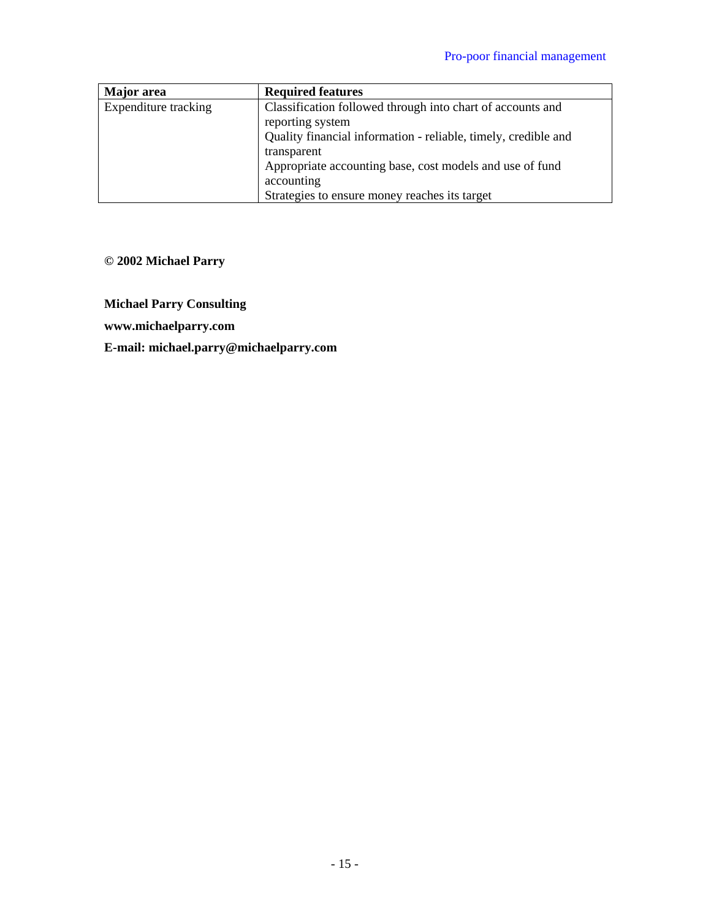| Major area           | <b>Required features</b>                                       |
|----------------------|----------------------------------------------------------------|
| Expenditure tracking | Classification followed through into chart of accounts and     |
|                      | reporting system                                               |
|                      | Quality financial information - reliable, timely, credible and |
|                      | transparent                                                    |
|                      | Appropriate accounting base, cost models and use of fund       |
|                      | accounting                                                     |
|                      | Strategies to ensure money reaches its target                  |

### **© 2002 Michael Parry**

**Michael Parry Consulting** 

**www.michaelparry.com** 

**E-mail: michael.parry@michaelparry.com**